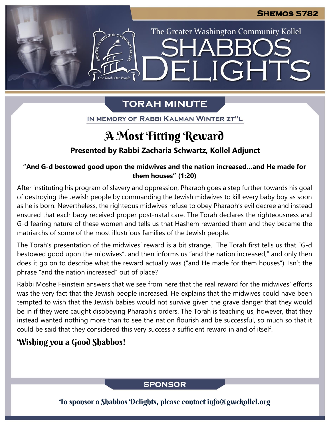The Greater Washington Community Kollel

LIGHTS

# **TORAH MINUTE**

EI

IN MEMORY OF RABBI KALMAN WINTER ZT"L

# A Most Fitting Reward

### **Presented by Rabbi Zacharia Schwartz, Kollel Adjunct**

#### **"And G-d bestowed good upon the midwives and the nation increased…and He made for them houses" (1:20)**

After instituting his program of slavery and oppression, Pharaoh goes a step further towards his goal of destroying the Jewish people by commanding the Jewish midwives to kill every baby boy as soon as he is born. Nevertheless, the righteous midwives refuse to obey Pharaoh's evil decree and instead ensured that each baby received proper post-natal care. The Torah declares the righteousness and G-d fearing nature of these women and tells us that Hashem rewarded them and they became the matriarchs of some of the most illustrious families of the Jewish people.

The Torah's presentation of the midwives' reward is a bit strange. The Torah first tells us that "G-d bestowed good upon the midwives", and then informs us "and the nation increased," and only then does it go on to describe what the reward actually was ("and He made for them houses"). Isn't the phrase "and the nation increased" out of place?

Rabbi Moshe Feinstein answers that we see from here that the real reward for the midwives' efforts was the very fact that the Jewish people increased. He explains that the midwives could have been tempted to wish that the Jewish babies would not survive given the grave danger that they would be in if they were caught disobeying Pharaoh's orders. The Torah is teaching us, however, that they instead wanted nothing more than to see the nation flourish and be successful, so much so that it could be said that they considered this very success a sufficient reward in and of itself.

## Wishing you a Good Shabbos!

### **SPONSOR**

To sponsor a Shabbos Delights, please contact info@gwckollel.org